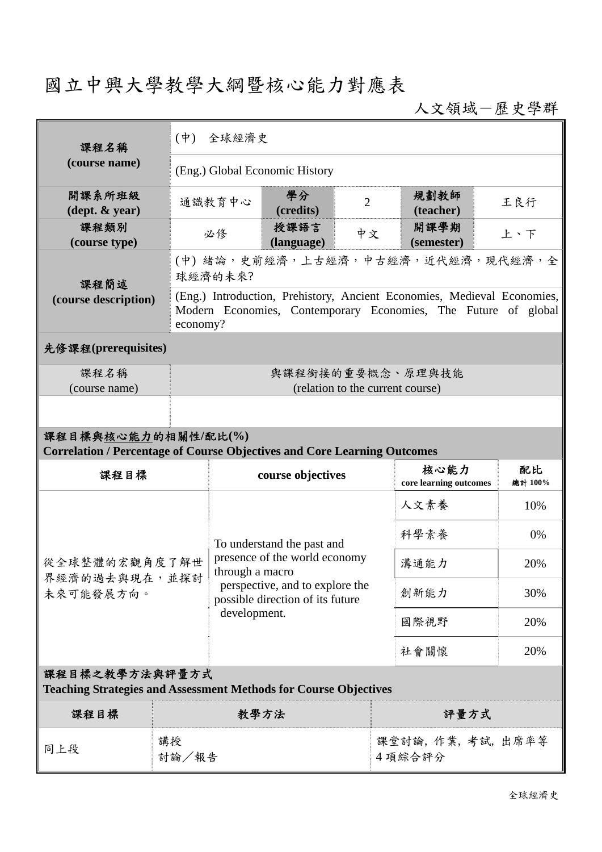## 國立中興大學教學大綱暨核心能力對應表

人文領域-歷史學群

| (course name)                                                                                          |                                                                                                                                                       | $(\dot{\Psi})$<br>全球經濟史                                                                                                                 |                    |                |                                |                    |     |  |  |
|--------------------------------------------------------------------------------------------------------|-------------------------------------------------------------------------------------------------------------------------------------------------------|-----------------------------------------------------------------------------------------------------------------------------------------|--------------------|----------------|--------------------------------|--------------------|-----|--|--|
|                                                                                                        | (Eng.) Global Economic History                                                                                                                        |                                                                                                                                         |                    |                |                                |                    |     |  |  |
| 開課系所班級<br>$(\text{dept.} \& \text{ year})$                                                             |                                                                                                                                                       | 通識教育中心                                                                                                                                  | 學分<br>(credits)    | $\overline{2}$ |                                | 規劃教師<br>(teacher)  | 王良行 |  |  |
| 課程類別<br>(course type)                                                                                  | 必修                                                                                                                                                    |                                                                                                                                         | 授課語言<br>(language) | 中文             |                                | 開課學期<br>(semester) | 上、下 |  |  |
| 課程簡述                                                                                                   | (中)緒論,史前經濟,上古經濟,中古經濟,近代經濟,現代經濟,全<br>球經濟的未來?                                                                                                           |                                                                                                                                         |                    |                |                                |                    |     |  |  |
| (course description)                                                                                   | (Eng.) Introduction, Prehistory, Ancient Economies, Medieval Economies,<br>Modern Economies, Contemporary Economies, The Future of global<br>economy? |                                                                                                                                         |                    |                |                                |                    |     |  |  |
| 先修課程(prerequisites)                                                                                    |                                                                                                                                                       |                                                                                                                                         |                    |                |                                |                    |     |  |  |
| 課程名稱<br>(course name)                                                                                  | 與課程銜接的重要概念、原理與技能<br>(relation to the current course)                                                                                                  |                                                                                                                                         |                    |                |                                |                    |     |  |  |
|                                                                                                        |                                                                                                                                                       |                                                                                                                                         |                    |                |                                |                    |     |  |  |
| 課程目標與核心能力的相關性/配比(%)<br><b>Correlation / Percentage of Course Objectives and Core Learning Outcomes</b> |                                                                                                                                                       |                                                                                                                                         |                    |                |                                |                    |     |  |  |
| 課程目標                                                                                                   |                                                                                                                                                       | course objectives                                                                                                                       |                    |                | 核心能力<br>core learning outcomes | 配比<br>總計 100%      |     |  |  |
|                                                                                                        |                                                                                                                                                       | To understand the past and                                                                                                              |                    |                |                                | 人文素養               | 10% |  |  |
|                                                                                                        |                                                                                                                                                       |                                                                                                                                         |                    |                |                                | 科學素養               | 0%  |  |  |
| 從全球整體的宏觀角度了解世<br>界經濟的過去與現在,並探討                                                                         |                                                                                                                                                       | presence of the world economy<br>through a macro<br>perspective, and to explore the<br>possible direction of its future<br>development. |                    |                | 溝通能力                           | 20%                |     |  |  |
| 未來可能發展方向。                                                                                              |                                                                                                                                                       |                                                                                                                                         |                    |                | 創新能力                           | 30%                |     |  |  |
|                                                                                                        |                                                                                                                                                       |                                                                                                                                         |                    |                | 國際視野                           | 20%                |     |  |  |
|                                                                                                        |                                                                                                                                                       |                                                                                                                                         |                    |                |                                | 社會關懷               | 20% |  |  |
| 課程目標之教學方法與評量方式<br><b>Teaching Strategies and Assessment Methods for Course Objectives</b>              |                                                                                                                                                       |                                                                                                                                         |                    |                |                                |                    |     |  |  |
| 課程目標                                                                                                   | 教學方法                                                                                                                                                  |                                                                                                                                         |                    |                | 評量方式                           |                    |     |  |  |
| 講授<br>同上段                                                                                              | 討論/報告                                                                                                                                                 |                                                                                                                                         |                    |                | 課堂討論, 作業, 考試, 出席率等<br>4 項綜合評分  |                    |     |  |  |